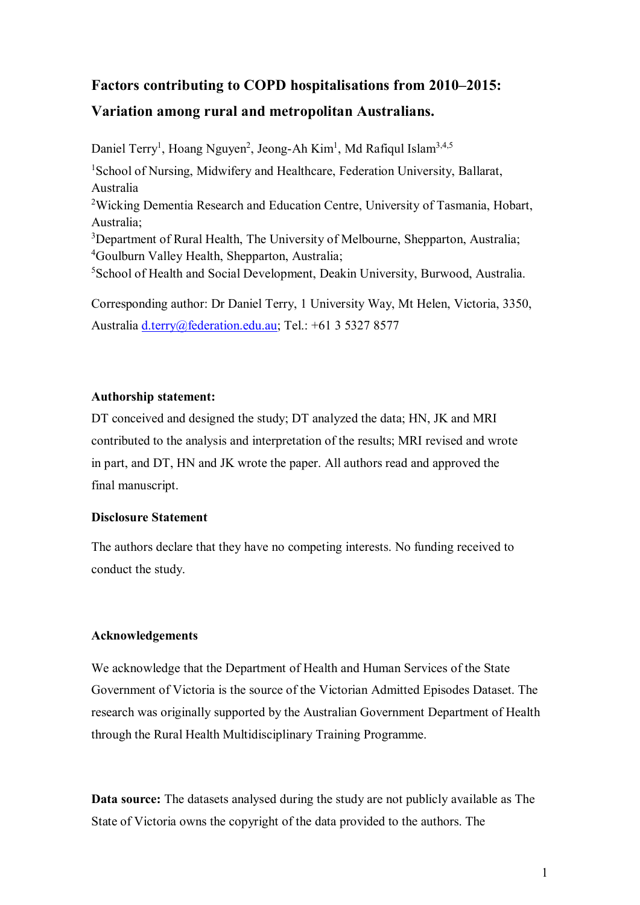# **Factors contributing to COPD hospitalisations from 2010–2015:**

# **Variation among rural and metropolitan Australians.**

Daniel Terry<sup>1</sup>, Hoang Nguyen<sup>2</sup>, Jeong-Ah Kim<sup>1</sup>, Md Rafiqul Islam<sup>3,4,5</sup> <sup>1</sup>School of Nursing, Midwifery and Healthcare, Federation University, Ballarat, Australia <sup>2</sup>Wicking Dementia Research and Education Centre, University of Tasmania, Hobart, Australia; <sup>3</sup>Department of Rural Health, The University of Melbourne, Shepparton, Australia; <sup>4</sup>Goulburn Valley Health, Shepparton, Australia; <sup>5</sup>School of Health and Social Development, Deakin University, Burwood, Australia.

Corresponding author: Dr Daniel Terry, 1 University Way, Mt Helen, Victoria, 3350, Australia [d.terry@federation.edu.au;](mailto:d.terry@federation.edu.au) Tel.: +61 3 5327 8577

#### **Authorship statement:**

DT conceived and designed the study; DT analyzed the data; HN, JK and MRI contributed to the analysis and interpretation of the results; MRI revised and wrote in part, and DT, HN and JK wrote the paper. All authors read and approved the final manuscript.

### **Disclosure Statement**

The authors declare that they have no competing interests. No funding received to conduct the study.

### **Acknowledgements**

We acknowledge that the Department of Health and Human Services of the State Government of Victoria is the source of the Victorian Admitted Episodes Dataset. The research was originally supported by the Australian Government Department of Health through the Rural Health Multidisciplinary Training Programme.

**Data source:** The datasets analysed during the study are not publicly available as The State of Victoria owns the copyright of the data provided to the authors. The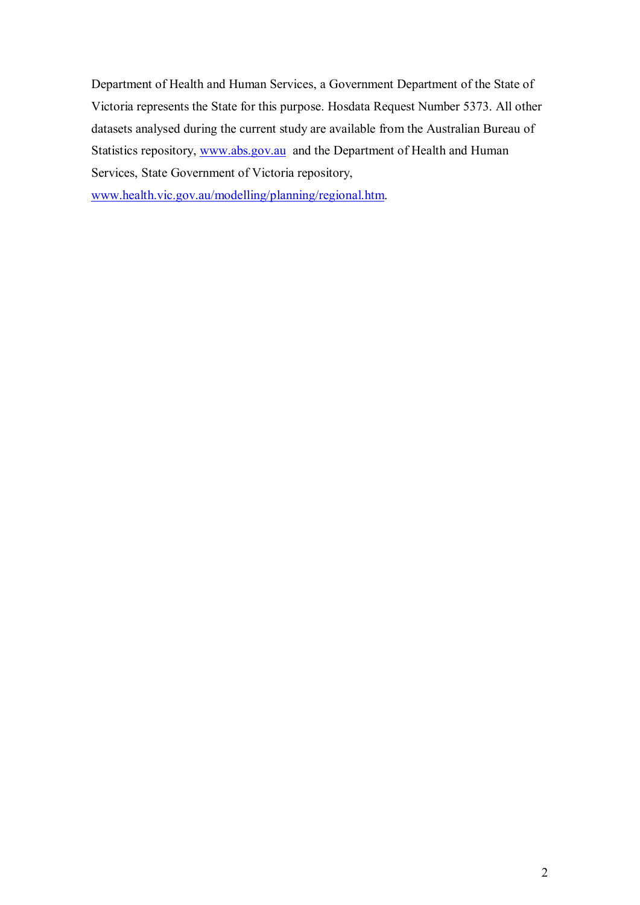Department of Health and Human Services, a Government Department of the State of Victoria represents the State for this purpose. Hosdata Request Number 5373. All other datasets analysed during the current study are available from the Australian Bureau of Statistics repository, [www.abs.gov.au](http://www.abs.gov.au/) and the Department of Health and Human Services, State Government of Victoria repository,

[www.health.vic.gov.au/modelling/planning/regional.htm.](http://www.health.vic.gov.au/modelling/planning/regional.htm)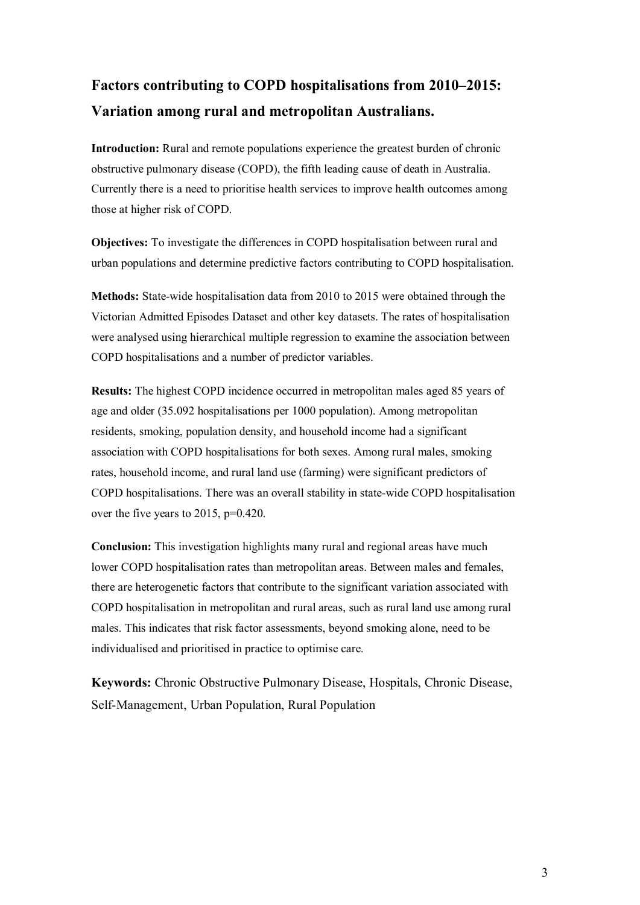# **Factors contributing to COPD hospitalisations from 2010–2015: Variation among rural and metropolitan Australians.**

**Introduction:** Rural and remote populations experience the greatest burden of chronic obstructive pulmonary disease (COPD), the fifth leading cause of death in Australia. Currently there is a need to prioritise health services to improve health outcomes among those at higher risk of COPD.

**Objectives:** To investigate the differences in COPD hospitalisation between rural and urban populations and determine predictive factors contributing to COPD hospitalisation.

**Methods:** State-wide hospitalisation data from 2010 to 2015 were obtained through the Victorian Admitted Episodes Dataset and other key datasets. The rates of hospitalisation were analysed using hierarchical multiple regression to examine the association between COPD hospitalisations and a number of predictor variables.

**Results:** The highest COPD incidence occurred in metropolitan males aged 85 years of age and older (35.092 hospitalisations per 1000 population). Among metropolitan residents, smoking, population density, and household income had a significant association with COPD hospitalisations for both sexes. Among rural males, smoking rates, household income, and rural land use (farming) were significant predictors of COPD hospitalisations. There was an overall stability in state-wide COPD hospitalisation over the five years to 2015, p=0.420.

**Conclusion:** This investigation highlights many rural and regional areas have much lower COPD hospitalisation rates than metropolitan areas. Between males and females, there are heterogenetic factors that contribute to the significant variation associated with COPD hospitalisation in metropolitan and rural areas, such as rural land use among rural males. This indicates that risk factor assessments, beyond smoking alone, need to be individualised and prioritised in practice to optimise care.

**Keywords:** Chronic Obstructive Pulmonary Disease, Hospitals, Chronic Disease, Self-Management, Urban Population, Rural Population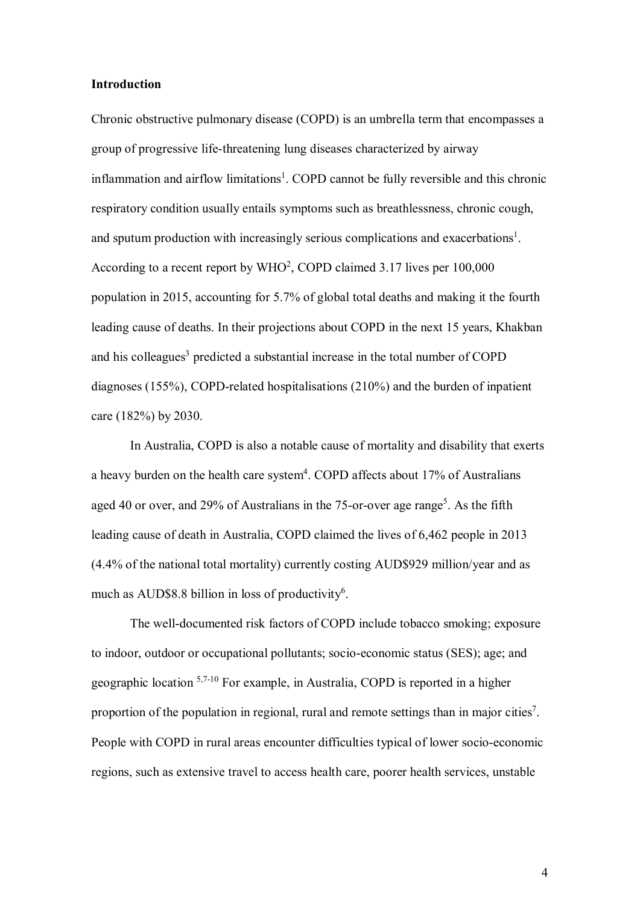#### **Introduction**

Chronic obstructive pulmonary disease (COPD) is an umbrella term that encompasses a group of progressive life-threatening lung diseases characterized by airway inflammation and airflow limitations<sup>1</sup>. COPD cannot be fully reversible and this chronic respiratory condition usually entails symptoms such as breathlessness, chronic cough, and sputum production with increasingly serious complications and exacerbations<sup>1</sup>. According to a recent report by WHO<sup>2</sup>, COPD claimed 3.17 lives per 100,000 population in 2015, accounting for 5.7% of global total deaths and making it the fourth leading cause of deaths. In their projections about COPD in the next 15 years, Khakban and his colleagues<sup>3</sup> predicted a substantial increase in the total number of COPD diagnoses (155%), COPD-related hospitalisations (210%) and the burden of inpatient care (182%) by 2030.

In Australia, COPD is also a notable cause of mortality and disability that exerts a heavy burden on the health care system<sup>4</sup>. COPD affects about 17% of Australians aged 40 or over, and 29% of Australians in the 75-or-over age range<sup>5</sup>. As the fifth leading cause of death in Australia, COPD claimed the lives of 6,462 people in 2013 (4.4% of the national total mortality) currently costing AUD\$929 million/year and as much as AUD\$8.8 billion in loss of productivity<sup>6</sup>.

The well-documented risk factors of COPD include tobacco smoking; exposure to indoor, outdoor or occupational pollutants; socio-economic status (SES); age; and geographic location 5,7-10 For example, in Australia, COPD is reported in a higher proportion of the population in regional, rural and remote settings than in major cities<sup>7</sup>. People with COPD in rural areas encounter difficulties typical of lower socio-economic regions, such as extensive travel to access health care, poorer health services, unstable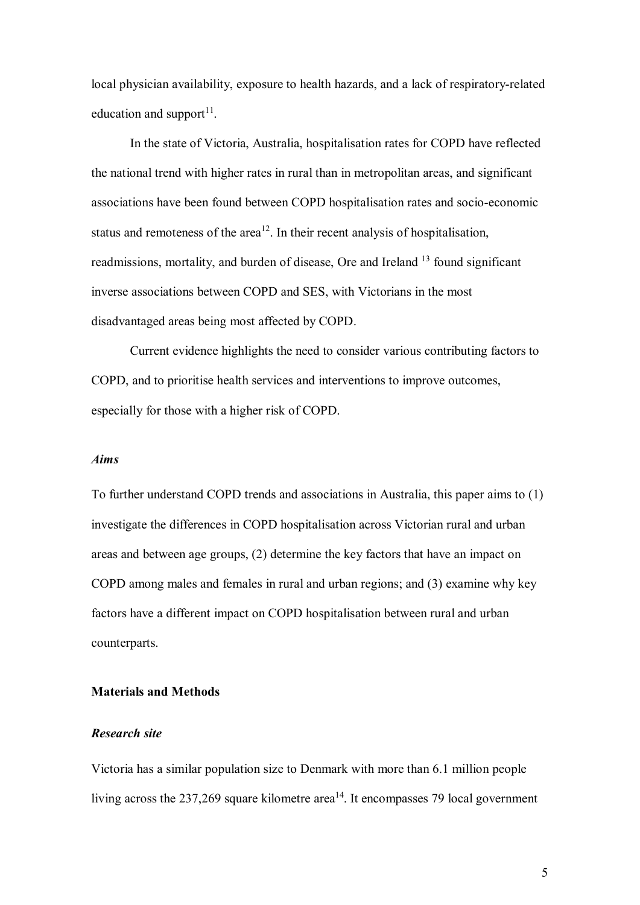local physician availability, exposure to health hazards, and a lack of respiratory-related education and support $^{11}$ .

In the state of Victoria, Australia, hospitalisation rates for COPD have reflected the national trend with higher rates in rural than in metropolitan areas, and significant associations have been found between COPD hospitalisation rates and socio-economic status and remoteness of the area<sup>12</sup>. In their recent analysis of hospitalisation, readmissions, mortality, and burden of disease, Ore and Ireland <sup>13</sup> found significant inverse associations between COPD and SES, with Victorians in the most disadvantaged areas being most affected by COPD.

Current evidence highlights the need to consider various contributing factors to COPD, and to prioritise health services and interventions to improve outcomes, especially for those with a higher risk of COPD.

#### *Aims*

To further understand COPD trends and associations in Australia, this paper aims to (1) investigate the differences in COPD hospitalisation across Victorian rural and urban areas and between age groups, (2) determine the key factors that have an impact on COPD among males and females in rural and urban regions; and (3) examine why key factors have a different impact on COPD hospitalisation between rural and urban counterparts.

#### **Materials and Methods**

#### *Research site*

Victoria has a similar population size to Denmark with more than 6.1 million people living across the  $237,269$  square kilometre area<sup>14</sup>. It encompasses 79 local government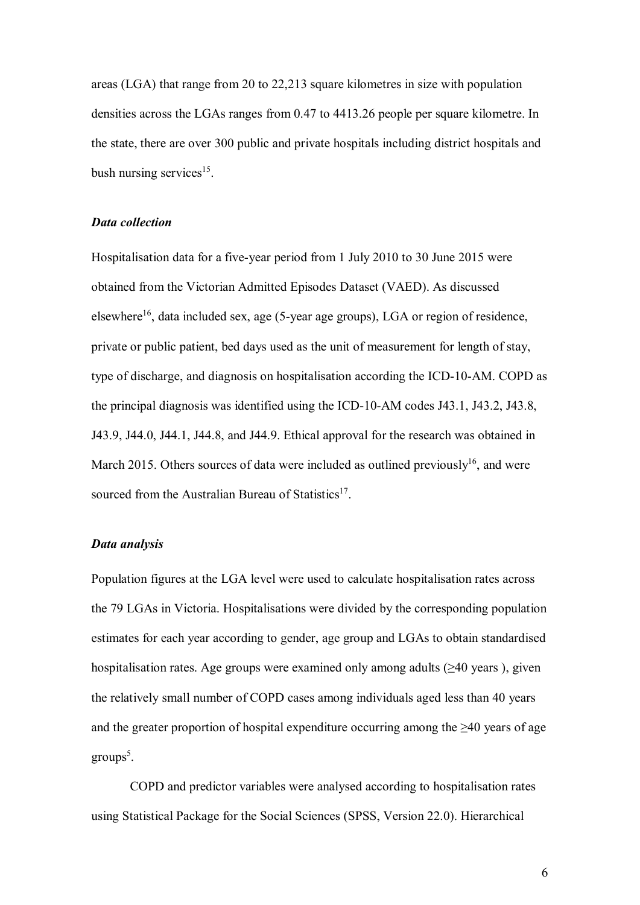areas (LGA) that range from 20 to 22,213 square kilometres in size with population densities across the LGAs ranges from 0.47 to 4413.26 people per square kilometre. In the state, there are over 300 public and private hospitals including district hospitals and bush nursing services<sup>15</sup>.

#### *Data collection*

Hospitalisation data for a five-year period from 1 July 2010 to 30 June 2015 were obtained from the Victorian Admitted Episodes Dataset (VAED). As discussed elsewhere<sup>16</sup>, data included sex, age (5-year age groups), LGA or region of residence, private or public patient, bed days used as the unit of measurement for length of stay, type of discharge, and diagnosis on hospitalisation according the ICD-10-AM. COPD as the principal diagnosis was identified using the ICD-10-AM codes J43.1, J43.2, J43.8, J43.9, J44.0, J44.1, J44.8, and J44.9. Ethical approval for the research was obtained in March 2015. Others sources of data were included as outlined previously<sup>16</sup>, and were sourced from the Australian Bureau of Statistics<sup>17</sup>.

#### *Data analysis*

Population figures at the LGA level were used to calculate hospitalisation rates across the 79 LGAs in Victoria. Hospitalisations were divided by the corresponding population estimates for each year according to gender, age group and LGAs to obtain standardised hospitalisation rates. Age groups were examined only among adults  $(\geq 40 \text{ years})$ , given the relatively small number of COPD cases among individuals aged less than 40 years and the greater proportion of hospital expenditure occurring among the  $\geq 40$  years of age groups<sup>5</sup>.

COPD and predictor variables were analysed according to hospitalisation rates using Statistical Package for the Social Sciences (SPSS, Version 22.0). Hierarchical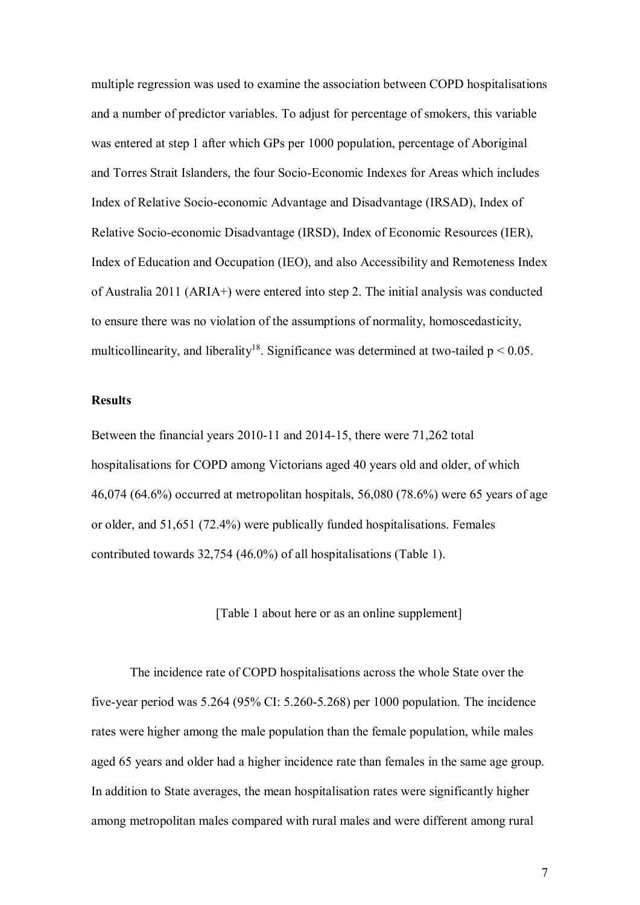multiple regression was used to examine the association between COPD hospitalisations and a number of predictor variables. To adjust for percentage of smokers, this variable was entered at step 1 after which GPs per 1000 population, percentage of Aboriginal and Torres Strait Islanders, the four Socio-Economic Indexes for Areas which includes Index of Relative Socio-economic Advantage and Disadvantage (IRSAD), Index of Relative Socio-economic Disadvantage (IRSD), Index of Economic Resources (IER), Index of Education and Occupation (IEO), and also Accessibility and Remoteness Index of Australia 2011 (ARIA+) were entered into step 2. The initial analysis was conducted to ensure there was no violation of the assumptions of normality, homoscedasticity, multicollinearity, and liberality<sup>18</sup>. Significance was determined at two-tailed  $p < 0.05$ .

#### **Results**

Between the financial years 2010-11 and 2014-15, there were 71,262 total hospitalisations for COPD among Victorians aged 40 years old and older, of which 46,074 (64.6%) occurred at metropolitan hospitals, 56,080 (78.6%) were 65 years of age or older, and 51,651 (72.4%) were publically funded hospitalisations. Females contributed towards 32,754 (46.0%) of all hospitalisations (Table 1).

[Table 1 about here or as an online supplement]

The incidence rate of COPD hospitalisations across the whole State over the five-year period was 5.264 (95% CI: 5.260-5.268) per 1000 population. The incidence rates were higher among the male population than the female population, while males aged 65 years and older had a higher incidence rate than females in the same age group. In addition to State averages, the mean hospitalisation rates were significantly higher among metropolitan males compared with rural males and were different among rural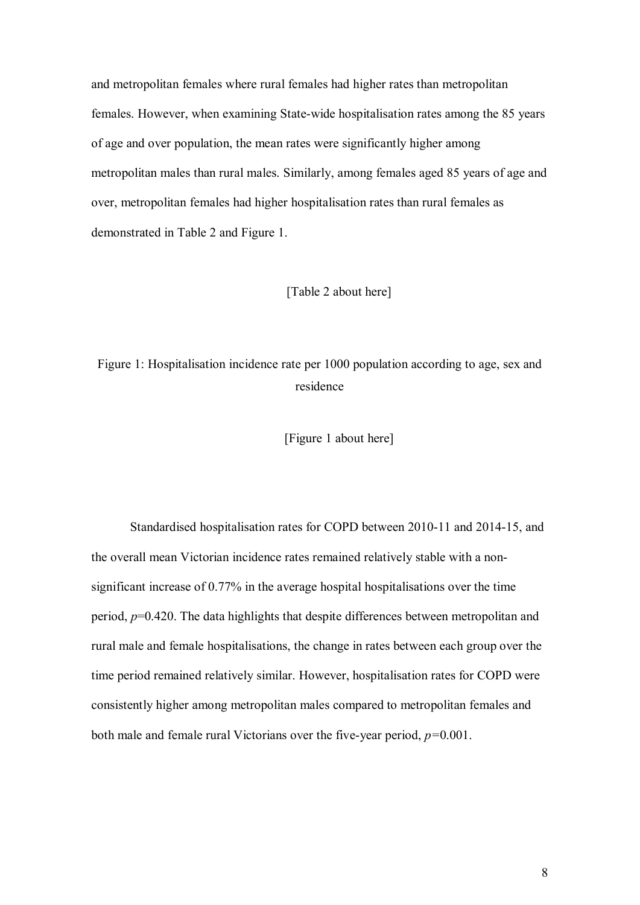and metropolitan females where rural females had higher rates than metropolitan females. However, when examining State-wide hospitalisation rates among the 85 years of age and over population, the mean rates were significantly higher among metropolitan males than rural males. Similarly, among females aged 85 years of age and over, metropolitan females had higher hospitalisation rates than rural females as demonstrated in Table 2 and Figure 1.

#### [Table 2 about here]

# Figure 1: Hospitalisation incidence rate per 1000 population according to age, sex and residence

[Figure 1 about here]

Standardised hospitalisation rates for COPD between 2010-11 and 2014-15, and the overall mean Victorian incidence rates remained relatively stable with a nonsignificant increase of 0.77% in the average hospital hospitalisations over the time period, *p*=0.420. The data highlights that despite differences between metropolitan and rural male and female hospitalisations, the change in rates between each group over the time period remained relatively similar. However, hospitalisation rates for COPD were consistently higher among metropolitan males compared to metropolitan females and both male and female rural Victorians over the five-year period, *p=*0.001.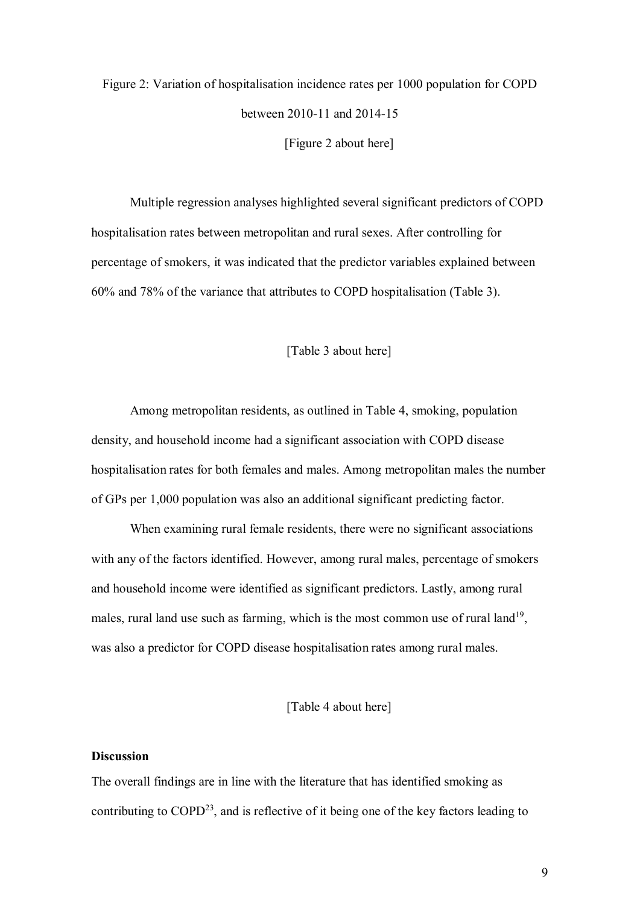Figure 2: Variation of hospitalisation incidence rates per 1000 population for COPD between 2010-11 and 2014-15 [Figure 2 about here]

Multiple regression analyses highlighted several significant predictors of COPD hospitalisation rates between metropolitan and rural sexes. After controlling for percentage of smokers, it was indicated that the predictor variables explained between 60% and 78% of the variance that attributes to COPD hospitalisation (Table 3).

#### [Table 3 about here]

Among metropolitan residents, as outlined in Table 4, smoking, population density, and household income had a significant association with COPD disease hospitalisation rates for both females and males. Among metropolitan males the number of GPs per 1,000 population was also an additional significant predicting factor.

When examining rural female residents, there were no significant associations with any of the factors identified. However, among rural males, percentage of smokers and household income were identified as significant predictors. Lastly, among rural males, rural land use such as farming, which is the most common use of rural land<sup>19</sup>, was also a predictor for COPD disease hospitalisation rates among rural males.

#### [Table 4 about here]

#### **Discussion**

The overall findings are in line with the literature that has identified smoking as contributing to  $COPD<sup>23</sup>$ , and is reflective of it being one of the key factors leading to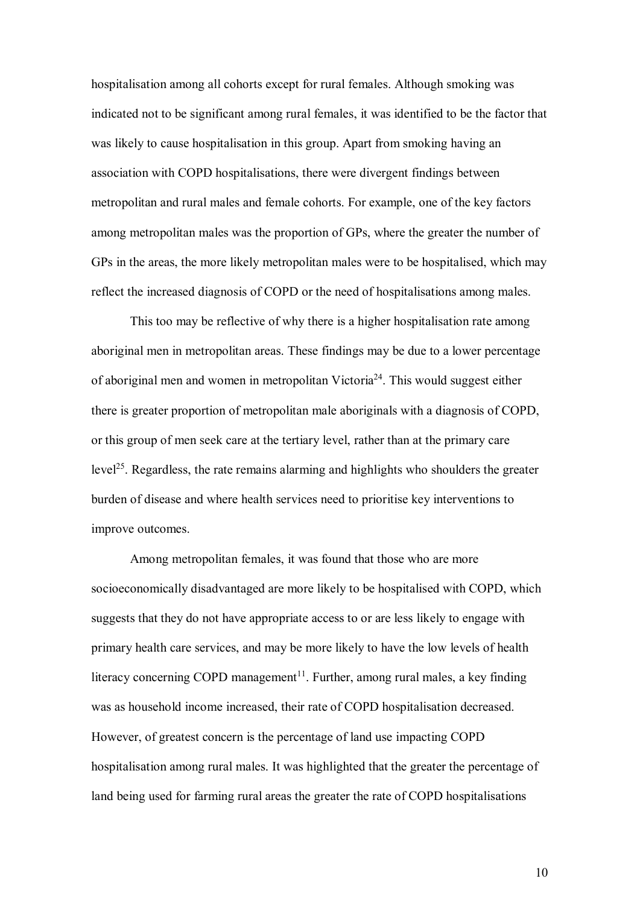hospitalisation among all cohorts except for rural females. Although smoking was indicated not to be significant among rural females, it was identified to be the factor that was likely to cause hospitalisation in this group. Apart from smoking having an association with COPD hospitalisations, there were divergent findings between metropolitan and rural males and female cohorts. For example, one of the key factors among metropolitan males was the proportion of GPs, where the greater the number of GPs in the areas, the more likely metropolitan males were to be hospitalised, which may reflect the increased diagnosis of COPD or the need of hospitalisations among males.

This too may be reflective of why there is a higher hospitalisation rate among aboriginal men in metropolitan areas. These findings may be due to a lower percentage of aboriginal men and women in metropolitan Victoria<sup>24</sup>. This would suggest either there is greater proportion of metropolitan male aboriginals with a diagnosis of COPD, or this group of men seek care at the tertiary level, rather than at the primary care level<sup>25</sup>. Regardless, the rate remains alarming and highlights who shoulders the greater burden of disease and where health services need to prioritise key interventions to improve outcomes.

Among metropolitan females, it was found that those who are more socioeconomically disadvantaged are more likely to be hospitalised with COPD, which suggests that they do not have appropriate access to or are less likely to engage with primary health care services, and may be more likely to have the low levels of health literacy concerning COPD management<sup>11</sup>. Further, among rural males, a key finding was as household income increased, their rate of COPD hospitalisation decreased. However, of greatest concern is the percentage of land use impacting COPD hospitalisation among rural males. It was highlighted that the greater the percentage of land being used for farming rural areas the greater the rate of COPD hospitalisations

10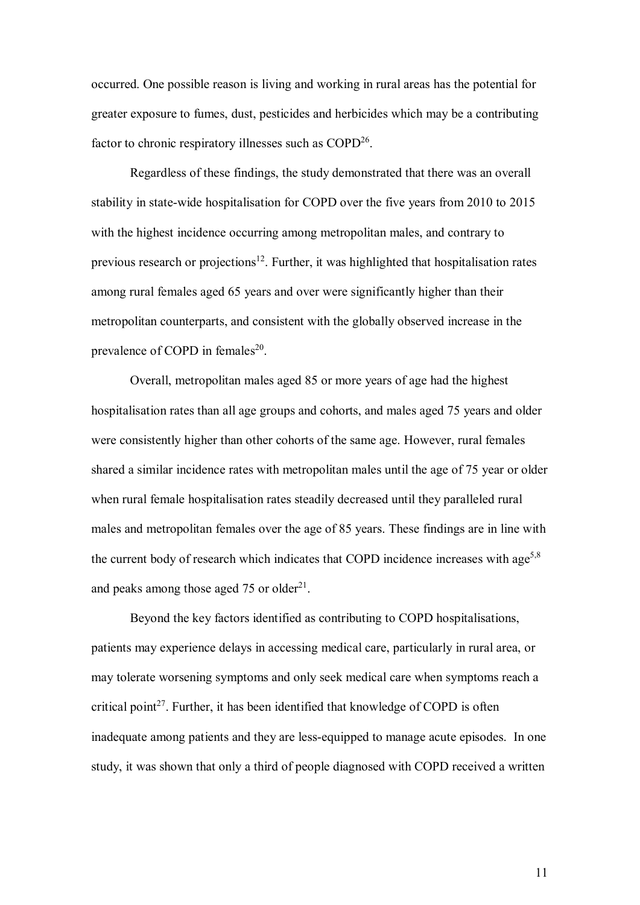occurred. One possible reason is living and working in rural areas has the potential for greater exposure to fumes, dust, pesticides and herbicides which may be a contributing factor to chronic respiratory illnesses such as  $COPD<sup>26</sup>$ .

Regardless of these findings, the study demonstrated that there was an overall stability in state-wide hospitalisation for COPD over the five years from 2010 to 2015 with the highest incidence occurring among metropolitan males, and contrary to previous research or projections<sup>12</sup>. Further, it was highlighted that hospitalisation rates among rural females aged 65 years and over were significantly higher than their metropolitan counterparts, and consistent with the globally observed increase in the prevalence of COPD in females $^{20}$ .

Overall, metropolitan males aged 85 or more years of age had the highest hospitalisation rates than all age groups and cohorts, and males aged 75 years and older were consistently higher than other cohorts of the same age. However, rural females shared a similar incidence rates with metropolitan males until the age of 75 year or older when rural female hospitalisation rates steadily decreased until they paralleled rural males and metropolitan females over the age of 85 years. These findings are in line with the current body of research which indicates that COPD incidence increases with age<sup>5,8</sup> and peaks among those aged 75 or older $^{21}$ .

Beyond the key factors identified as contributing to COPD hospitalisations, patients may experience delays in accessing medical care, particularly in rural area, or may tolerate worsening symptoms and only seek medical care when symptoms reach a critical point<sup>27</sup>. Further, it has been identified that knowledge of COPD is often inadequate among patients and they are less-equipped to manage acute episodes. In one study, it was shown that only a third of people diagnosed with COPD received a written

11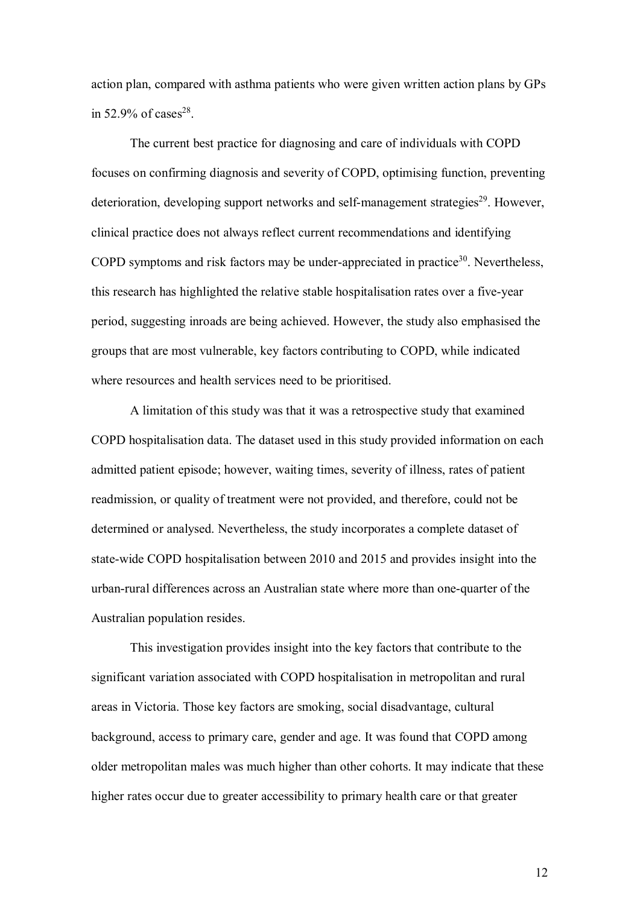action plan, compared with asthma patients who were given written action plans by GPs in 52.9% of cases<sup>28</sup>.

The current best practice for diagnosing and care of individuals with COPD focuses on confirming diagnosis and severity of COPD, optimising function, preventing deterioration, developing support networks and self-management strategies<sup>29</sup>. However, clinical practice does not always reflect current recommendations and identifying COPD symptoms and risk factors may be under-appreciated in practice<sup>30</sup>. Nevertheless, this research has highlighted the relative stable hospitalisation rates over a five-year period, suggesting inroads are being achieved. However, the study also emphasised the groups that are most vulnerable, key factors contributing to COPD, while indicated where resources and health services need to be prioritised.

A limitation of this study was that it was a retrospective study that examined COPD hospitalisation data. The dataset used in this study provided information on each admitted patient episode; however, waiting times, severity of illness, rates of patient readmission, or quality of treatment were not provided, and therefore, could not be determined or analysed. Nevertheless, the study incorporates a complete dataset of state-wide COPD hospitalisation between 2010 and 2015 and provides insight into the urban-rural differences across an Australian state where more than one-quarter of the Australian population resides.

This investigation provides insight into the key factors that contribute to the significant variation associated with COPD hospitalisation in metropolitan and rural areas in Victoria. Those key factors are smoking, social disadvantage, cultural background, access to primary care, gender and age. It was found that COPD among older metropolitan males was much higher than other cohorts. It may indicate that these higher rates occur due to greater accessibility to primary health care or that greater

12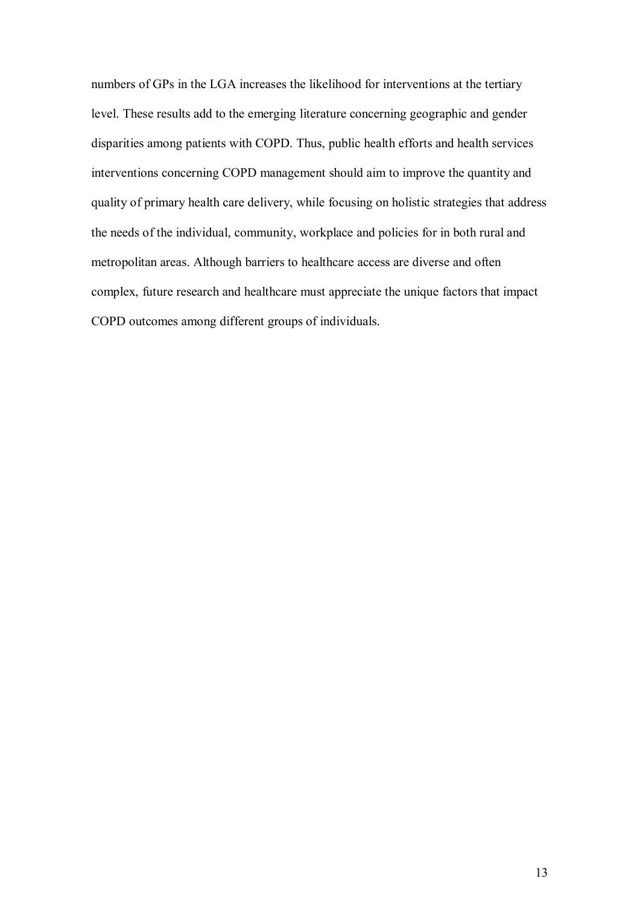numbers of GPs in the LGA increases the likelihood for interventions at the tertiary level. These results add to the emerging literature concerning geographic and gender disparities among patients with COPD. Thus, public health efforts and health services interventions concerning COPD management should aim to improve the quantity and quality of primary health care delivery, while focusing on holistic strategies that address the needs of the individual, community, workplace and policies for in both rural and metropolitan areas. Although barriers to healthcare access are diverse and often complex, future research and healthcare must appreciate the unique factors that impact COPD outcomes among different groups of individuals.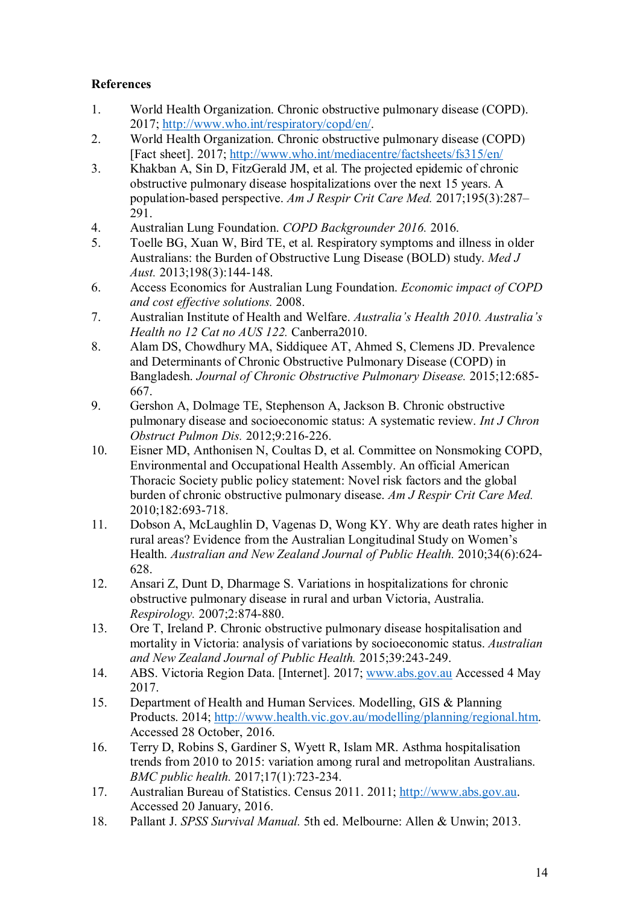## **References**

- 1. World Health Organization. Chronic obstructive pulmonary disease (COPD). 2017; [http://www.who.int/respiratory/copd/en/.](http://www.who.int/respiratory/copd/en/)
- 2. World Health Organization. Chronic obstructive pulmonary disease (COPD) [Fact sheet]. 2017;<http://www.who.int/mediacentre/factsheets/fs315/en/>
- 3. Khakban A, Sin D, FitzGerald JM, et al. The projected epidemic of chronic obstructive pulmonary disease hospitalizations over the next 15 years. A population-based perspective. *Am J Respir Crit Care Med.* 2017;195(3):287– 291.
- 4. Australian Lung Foundation. *COPD Backgrounder 2016.* 2016.
- 5. Toelle BG, Xuan W, Bird TE, et al. Respiratory symptoms and illness in older Australians: the Burden of Obstructive Lung Disease (BOLD) study. *Med J Aust.* 2013;198(3):144-148.
- 6. Access Economics for Australian Lung Foundation. *Economic impact of COPD and cost effective solutions.* 2008.
- 7. Australian Institute of Health and Welfare. *Australia's Health 2010. Australia's Health no 12 Cat no AUS 122.* Canberra2010.
- 8. Alam DS, Chowdhury MA, Siddiquee AT, Ahmed S, Clemens JD. Prevalence and Determinants of Chronic Obstructive Pulmonary Disease (COPD) in Bangladesh. *Journal of Chronic Obstructive Pulmonary Disease.* 2015;12:685- 667.
- 9. Gershon A, Dolmage TE, Stephenson A, Jackson B. Chronic obstructive pulmonary disease and socioeconomic status: A systematic review. *Int J Chron Obstruct Pulmon Dis.* 2012;9:216-226.
- 10. Eisner MD, Anthonisen N, Coultas D, et al. Committee on Nonsmoking COPD, Environmental and Occupational Health Assembly. An official American Thoracic Society public policy statement: Novel risk factors and the global burden of chronic obstructive pulmonary disease. *Am J Respir Crit Care Med.*  2010;182:693-718.
- 11. Dobson A, McLaughlin D, Vagenas D, Wong KY. Why are death rates higher in rural areas? Evidence from the Australian Longitudinal Study on Women's Health. *Australian and New Zealand Journal of Public Health.* 2010;34(6):624- 628.
- 12. Ansari Z, Dunt D, Dharmage S. Variations in hospitalizations for chronic obstructive pulmonary disease in rural and urban Victoria, Australia. *Respirology.* 2007;2:874-880.
- 13. Ore T, Ireland P. Chronic obstructive pulmonary disease hospitalisation and mortality in Victoria: analysis of variations by socioeconomic status. *Australian and New Zealand Journal of Public Health.* 2015;39:243-249.
- 14. ABS. Victoria Region Data. [Internet]. 2017; www.abs.gov.au Accessed 4 May 2017.
- 15. Department of Health and Human Services. Modelling, GIS & Planning Products. 2014; [http://www.health.vic.gov.au/modelling/planning/regional.htm.](http://www.health.vic.gov.au/modelling/planning/regional.htm) Accessed 28 October, 2016.
- 16. Terry D, Robins S, Gardiner S, Wyett R, Islam MR. Asthma hospitalisation trends from 2010 to 2015: variation among rural and metropolitan Australians. *BMC public health.* 2017;17(1):723-234.
- 17. Australian Bureau of Statistics. Census 2011. 2011; [http://www.abs.gov.au.](http://www.abs.gov.au/) Accessed 20 January, 2016.
- 18. Pallant J. *SPSS Survival Manual.* 5th ed. Melbourne: Allen & Unwin; 2013.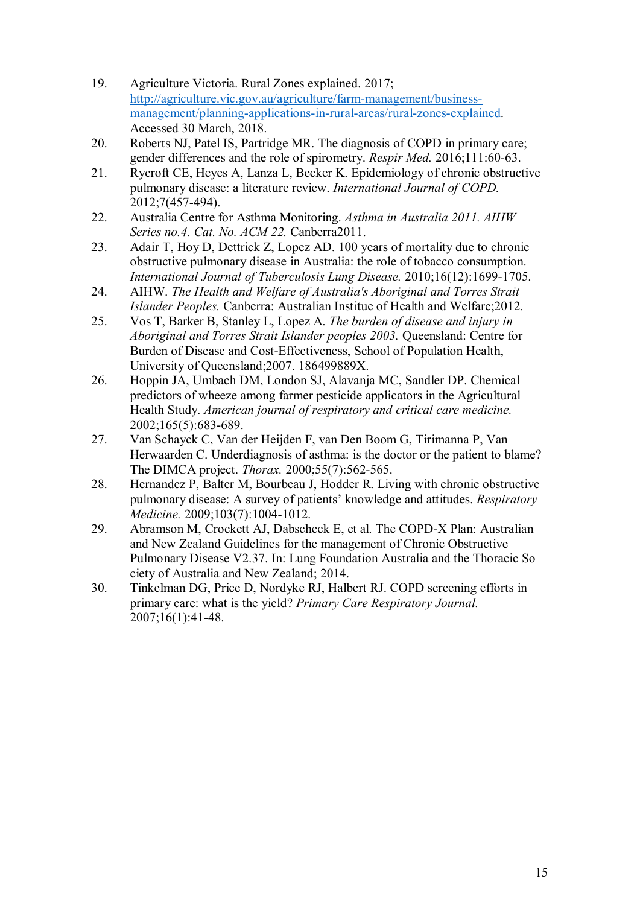- 19. Agriculture Victoria. Rural Zones explained. 2017; [http://agriculture.vic.gov.au/agriculture/farm-management/business](http://agriculture.vic.gov.au/agriculture/farm-management/business-management/planning-applications-in-rural-areas/rural-zones-explained)[management/planning-applications-in-rural-areas/rural-zones-explained.](http://agriculture.vic.gov.au/agriculture/farm-management/business-management/planning-applications-in-rural-areas/rural-zones-explained) Accessed 30 March, 2018.
- 20. Roberts NJ, Patel IS, Partridge MR. The diagnosis of COPD in primary care; gender differences and the role of spirometry. *Respir Med.* 2016;111:60-63.
- 21. Rycroft CE, Heyes A, Lanza L, Becker K. Epidemiology of chronic obstructive pulmonary disease: a literature review. *International Journal of COPD.*  2012;7(457-494).
- 22. Australia Centre for Asthma Monitoring. *Asthma in Australia 2011. AIHW Series no.4. Cat. No. ACM 22.* Canberra2011.
- 23. Adair T, Hoy D, Dettrick Z, Lopez AD. 100 years of mortality due to chronic obstructive pulmonary disease in Australia: the role of tobacco consumption. *International Journal of Tuberculosis Lung Disease.* 2010;16(12):1699-1705.
- 24. AIHW. *The Health and Welfare of Australia's Aboriginal and Torres Strait Islander Peoples.* Canberra: Australian Institue of Health and Welfare;2012.
- 25. Vos T, Barker B, Stanley L, Lopez A. *The burden of disease and injury in Aboriginal and Torres Strait Islander peoples 2003.* Queensland: Centre for Burden of Disease and Cost-Effectiveness, School of Population Health, University of Queensland;2007. 186499889X.
- 26. Hoppin JA, Umbach DM, London SJ, Alavanja MC, Sandler DP. Chemical predictors of wheeze among farmer pesticide applicators in the Agricultural Health Study. *American journal of respiratory and critical care medicine.*  2002;165(5):683-689.
- 27. Van Schayck C, Van der Heijden F, van Den Boom G, Tirimanna P, Van Herwaarden C. Underdiagnosis of asthma: is the doctor or the patient to blame? The DIMCA project. *Thorax.* 2000;55(7):562-565.
- 28. Hernandez P, Balter M, Bourbeau J, Hodder R. Living with chronic obstructive pulmonary disease: A survey of patients' knowledge and attitudes. *Respiratory Medicine.* 2009;103(7):1004-1012.
- 29. Abramson M, Crockett AJ, Dabscheck E, et al. The COPD-X Plan: Australian and New Zealand Guidelines for the management of Chronic Obstructive Pulmonary Disease V2.37. In: Lung Foundation Australia and the Thoracic So ciety of Australia and New Zealand; 2014.
- 30. Tinkelman DG, Price D, Nordyke RJ, Halbert RJ. COPD screening efforts in primary care: what is the yield? *Primary Care Respiratory Journal.*  2007;16(1):41-48.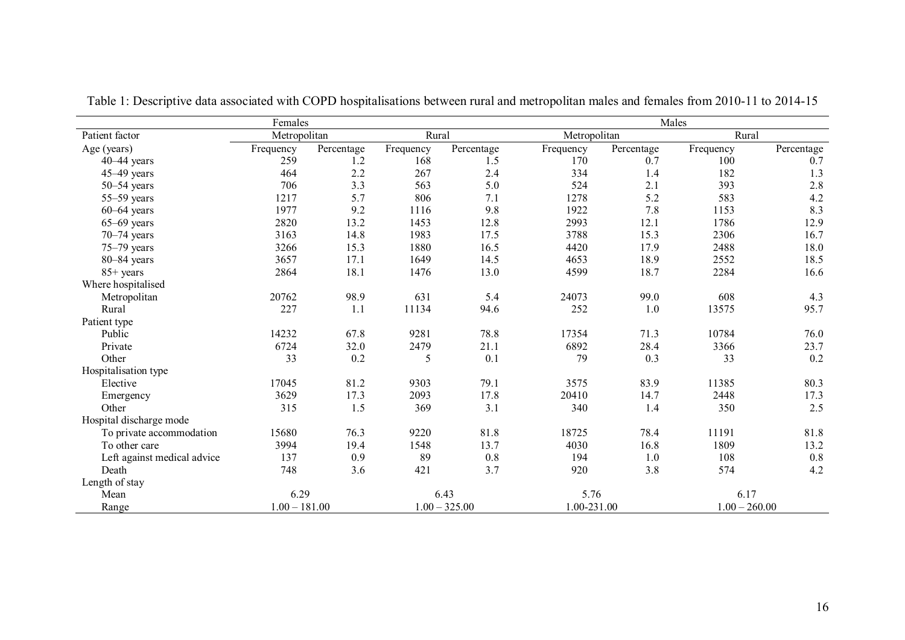| Females                     |                 |            |                 |            | Males        |             |           |                 |  |
|-----------------------------|-----------------|------------|-----------------|------------|--------------|-------------|-----------|-----------------|--|
| Patient factor              | Metropolitan    |            | Rural           |            | Metropolitan |             | Rural     |                 |  |
| Age (years)                 | Frequency       | Percentage | Frequency       | Percentage | Frequency    | Percentage  | Frequency | Percentage      |  |
| $40-44$ years               | 259             | 1.2        | 168             | 1.5        | 170          | 0.7         | 100       | 0.7             |  |
| $45-49$ years               | 464             | 2.2        | 267             | 2.4        | 334          | 1.4         | 182       | 1.3             |  |
| $50 - 54$ years             | 706             | 3.3        | 563             | 5.0        | 524          | 2.1         | 393       | 2.8             |  |
| $55-59$ years               | 1217            | 5.7        | 806             | 7.1        | 1278         | 5.2         | 583       | 4.2             |  |
| $60-64$ years               | 1977            | 9.2        | 1116            | 9.8        | 1922         | 7.8         | 1153      | 8.3             |  |
| $65 - 69$ years             | 2820            | 13.2       | 1453            | 12.8       | 2993         | 12.1        | 1786      | 12.9            |  |
| $70 - 74$ years             | 3163            | 14.8       | 1983            | 17.5       | 3788         | 15.3        | 2306      | 16.7            |  |
| $75-79$ years               | 3266            | 15.3       | 1880            | 16.5       | 4420         | 17.9        | 2488      | 18.0            |  |
| $80 - 84$ years             | 3657            | 17.1       | 1649            | 14.5       | 4653         | 18.9        | 2552      | 18.5            |  |
| $85+$ years                 | 2864            | 18.1       | 1476            | 13.0       | 4599         | 18.7        | 2284      | 16.6            |  |
| Where hospitalised          |                 |            |                 |            |              |             |           |                 |  |
| Metropolitan                | 20762           | 98.9       | 631             | 5.4        | 24073        | 99.0        | 608       | 4.3             |  |
| Rural                       | 227             | 1.1        | 11134           | 94.6       | 252          | 1.0         | 13575     | 95.7            |  |
| Patient type                |                 |            |                 |            |              |             |           |                 |  |
| Public                      | 14232           | 67.8       | 9281            | 78.8       | 17354        | 71.3        | 10784     | 76.0            |  |
| Private                     | 6724            | 32.0       | 2479            | 21.1       | 6892         | 28.4        | 3366      | 23.7            |  |
| Other                       | 33              | 0.2        | 5               | 0.1        | 79           | 0.3         | 33        | $0.2\,$         |  |
| Hospitalisation type        |                 |            |                 |            |              |             |           |                 |  |
| Elective                    | 17045           | 81.2       | 9303            | 79.1       | 3575         | 83.9        | 11385     | 80.3            |  |
| Emergency                   | 3629            | 17.3       | 2093            | 17.8       | 20410        | 14.7        | 2448      | 17.3            |  |
| Other                       | 315             | 1.5        | 369             | 3.1        | 340          | 1.4         | 350       | 2.5             |  |
| Hospital discharge mode     |                 |            |                 |            |              |             |           |                 |  |
| To private accommodation    | 15680           | 76.3       | 9220            | 81.8       | 18725        | 78.4        | 11191     | 81.8            |  |
| To other care               | 3994            | 19.4       | 1548            | 13.7       | 4030         | 16.8        | 1809      | 13.2            |  |
| Left against medical advice | 137             | 0.9        | 89              | 0.8        | 194          | 1.0         | 108       | $0.8\,$         |  |
| Death                       | 748             | 3.6        | 421             | 3.7        | 920          | 3.8         | 574       | 4.2             |  |
| Length of stay              |                 |            |                 |            |              |             |           |                 |  |
| Mean                        | 6.29            |            |                 | 6.43       |              | 5.76        |           | 6.17            |  |
| Range                       | $1.00 - 181.00$ |            | $1.00 - 325.00$ |            |              | 1.00-231.00 |           | $1.00 - 260.00$ |  |

Table 1: Descriptive data associated with COPD hospitalisations between rural and metropolitan males and females from 2010-11 to 2014-15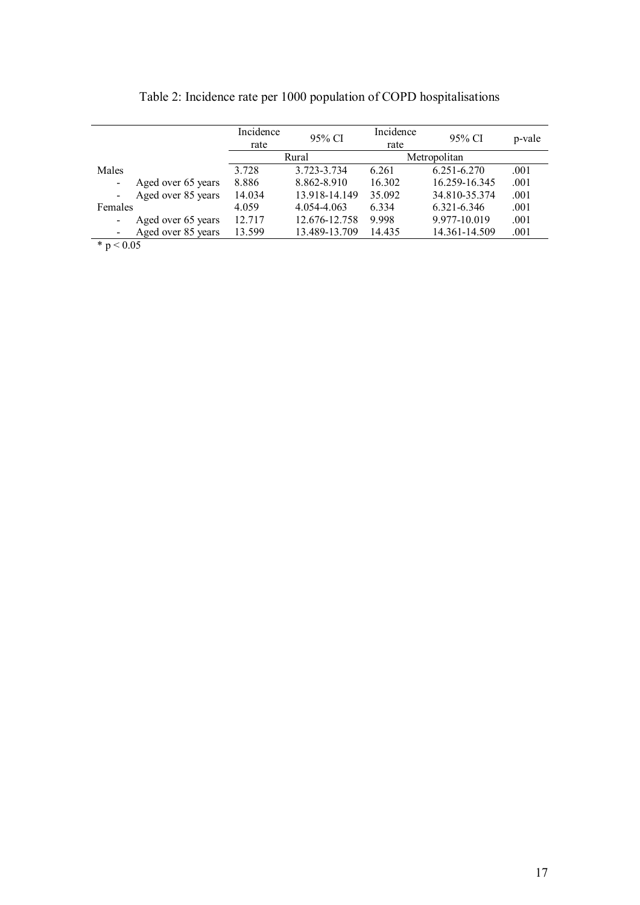|                             | Incidence | 95% CI        | Incidence | 95% CI        | p-vale |
|-----------------------------|-----------|---------------|-----------|---------------|--------|
|                             | rate      |               | rate      |               |        |
|                             |           | Rural         |           | Metropolitan  |        |
| Males                       | 3.728     | 3.723-3.734   | 6.261     | 6.251-6.270   | .001   |
| Aged over 65 years          | 8.886     | 8.862-8.910   | 16.302    | 16.259-16.345 | .001   |
| Aged over 85 years          | 14.034    | 13.918-14.149 | 35.092    | 34.810-35.374 | .001   |
| Females                     | 4.059     | 4.054-4.063   | 6.334     | 6.321-6.346   | .001   |
| Aged over 65 years          | 12.717    | 12.676-12.758 | 9.998     | 9.977-10.019  | .001   |
| Aged over 85 years          | 13.599    | 13.489-13.709 | 14.435    | 14.361-14.509 | .001   |
| $\star$ $\sim$ 0.0 $\sigma$ |           |               |           |               |        |

Table 2: Incidence rate per 1000 population of COPD hospitalisations

 $*$  p  $< 0.05$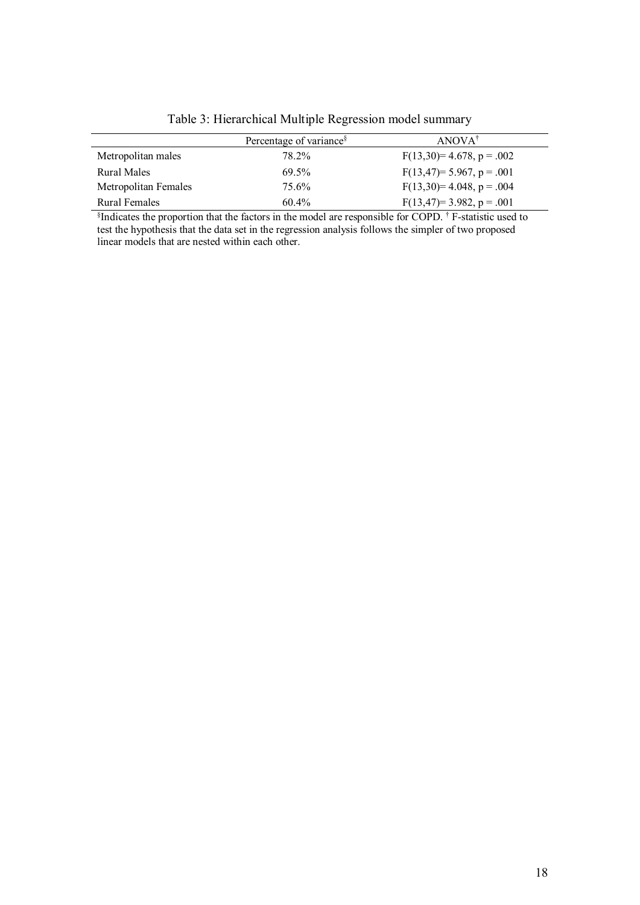|                      | Percentage of variance <sup>§</sup> | $ANOVA^{\dagger}$        |
|----------------------|-------------------------------------|--------------------------|
| Metropolitan males   | 78.2%                               | $F(13,30)=4.678, p=.002$ |
| Rural Males          | 69.5%                               | $F(13,47)=5.967, p=.001$ |
| Metropolitan Females | 75.6%                               | $F(13,30)=4.048, p=.004$ |
| Rural Females        | $60.4\%$                            | $F(13,47)=3.982, p=.001$ |

Table 3: Hierarchical Multiple Regression model summary

§ Indicates the proportion that the factors in the model are responsible for COPD. † F-statistic used to test the hypothesis that the data set in the regression analysis follows the simpler of two proposed linear models that are nested within each other.